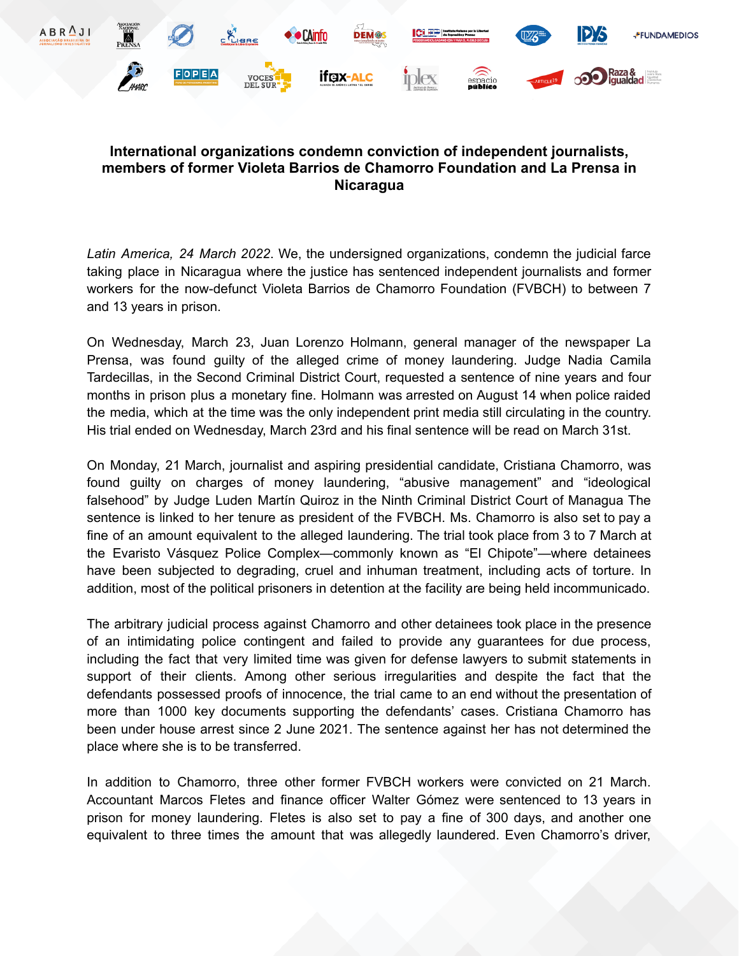

## **International organizations condemn conviction of independent journalists, members of former Violeta Barrios de Chamorro Foundation and La Prensa in Nicaragua**

*Latin America, 24 March 2022*. We, the undersigned organizations, condemn the judicial farce taking place in Nicaragua where the justice has sentenced independent journalists and former workers for the now-defunct Violeta Barrios de Chamorro Foundation (FVBCH) to between 7 and 13 years in prison.

On Wednesday, March 23, Juan Lorenzo Holmann, general manager of the newspaper La Prensa, was found guilty of the alleged crime of money laundering. Judge Nadia Camila Tardecillas, in the Second Criminal District Court, requested a sentence of nine years and four months in prison plus a monetary fine. Holmann was arrested on August 14 when police raided the media, which at the time was the only independent print media still circulating in the country. His trial ended on Wednesday, March 23rd and his final sentence will be read on March 31st.

On Monday, 21 March, journalist and aspiring presidential candidate, Cristiana Chamorro, was found guilty on charges of money laundering, "abusive management" and "ideological falsehood" by Judge Luden Martín Quiroz in the Ninth Criminal District Court of Managua The sentence is linked to her tenure as president of the FVBCH. Ms. Chamorro is also set to pay a fine of an amount equivalent to the alleged laundering. The trial took place from 3 to 7 March at the Evaristo Vásquez Police Complex—commonly known as "El Chipote"—where detainees have been subjected to degrading, cruel and inhuman treatment, including acts of torture. In addition, most of the political prisoners in detention at the facility are being held incommunicado.

The arbitrary judicial process against Chamorro and other detainees took place in the presence of an intimidating police contingent and failed to provide any guarantees for due process, including the fact that very limited time was given for defense lawyers to submit statements in support of their clients. Among other serious irregularities and despite the fact that the defendants possessed proofs of innocence, the trial came to an end without the presentation of more than 1000 key documents supporting the defendants' cases. Cristiana Chamorro has been under house arrest since 2 June 2021. The sentence against her has not determined the place where she is to be transferred.

In addition to Chamorro, three other former FVBCH workers were convicted on 21 March. Accountant Marcos Fletes and finance officer Walter Gómez were sentenced to 13 years in prison for money laundering. Fletes is also set to pay a fine of 300 days, and another one equivalent to three times the amount that was allegedly laundered. Even Chamorro's driver,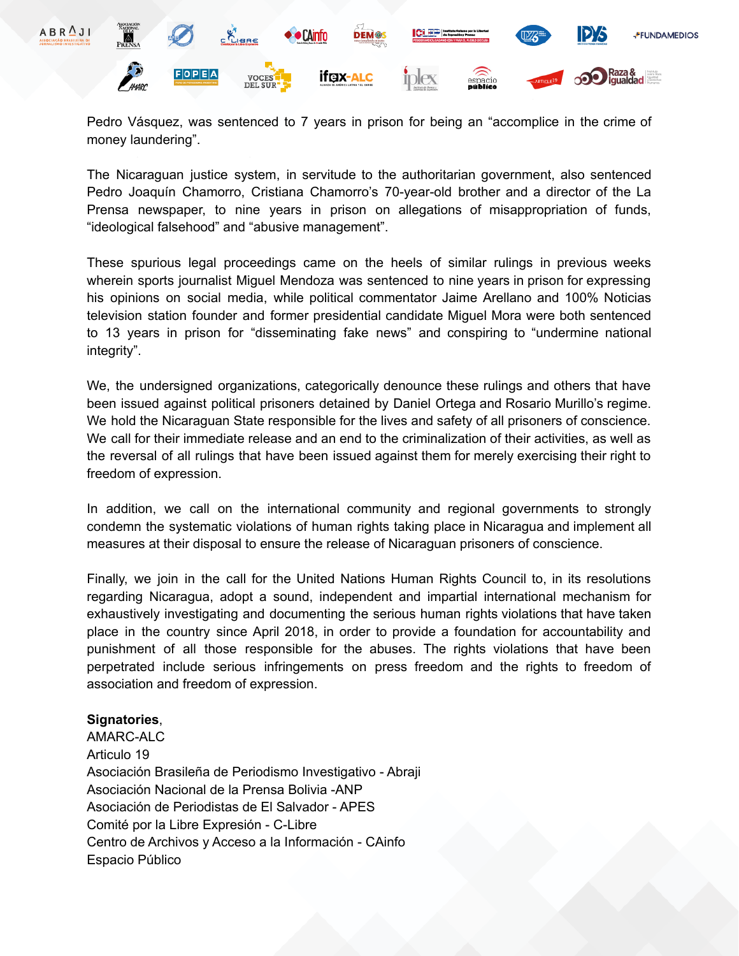

Pedro Vásquez, was sentenced to 7 years in prison for being an "accomplice in the crime of money laundering".

The Nicaraguan justice system, in servitude to the authoritarian government, also sentenced Pedro Joaquín Chamorro, Cristiana Chamorro's 70-year-old brother and a director of the La Prensa newspaper, to nine years in prison on allegations of misappropriation of funds, "ideological falsehood" and "abusive management".

These spurious legal proceedings came on the heels of similar rulings in previous weeks wherein sports journalist Miguel Mendoza was sentenced to nine years in prison for expressing his opinions on social media, while political commentator Jaime Arellano and 100% Noticias television station founder and former presidential candidate Miguel Mora were both sentenced to 13 years in prison for "disseminating fake news" and conspiring to "undermine national integrity".

We, the undersigned organizations, categorically denounce these rulings and others that have been issued against political prisoners detained by Daniel Ortega and Rosario Murillo's regime. We hold the Nicaraguan State responsible for the lives and safety of all prisoners of conscience. We call for their immediate release and an end to the criminalization of their activities, as well as the reversal of all rulings that have been issued against them for merely exercising their right to freedom of expression.

In addition, we call on the international community and regional governments to strongly condemn the systematic violations of human rights taking place in Nicaragua and implement all measures at their disposal to ensure the release of Nicaraguan prisoners of conscience.

Finally, we join in the call for the United Nations Human Rights Council to, in its resolutions regarding Nicaragua, adopt a sound, independent and impartial international mechanism for exhaustively investigating and documenting the serious human rights violations that have taken place in the country since April 2018, in order to provide a foundation for accountability and punishment of all those responsible for the abuses. The rights violations that have been perpetrated include serious infringements on press freedom and the rights to freedom of association and freedom of expression.

## **Signatories**,

AMARC-ALC Articulo 19 Asociación Brasileña de Periodismo Investigativo - Abraji Asociación Nacional de la Prensa Bolivia -ANP Asociación de Periodistas de El Salvador - APES Comité por la Libre Expresión - C-Libre Centro de Archivos y Acceso a la Información - CAinfo Espacio Público